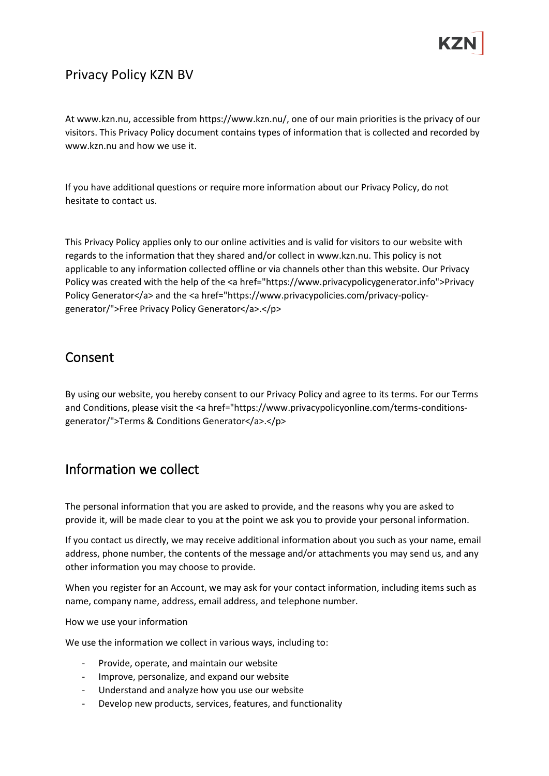## Privacy Policy KZN BV

At www.kzn.nu, accessible from https://www.kzn.nu/, one of our main priorities is the privacy of our visitors. This Privacy Policy document contains types of information that is collected and recorded by www.kzn.nu and how we use it.

If you have additional questions or require more information about our Privacy Policy, do not hesitate to contact us.

This Privacy Policy applies only to our online activities and is valid for visitors to our website with regards to the information that they shared and/or collect in www.kzn.nu. This policy is not applicable to any information collected offline or via channels other than this website. Our Privacy Policy was created with the help of the <a href="https://www.privacypolicygenerator.info">Privacy Policy Generator</a> and the <a href="https://www.privacypolicies.com/privacy-policygenerator/">Free Privacy Policy Generator</a>.</p>

#### Consent

By using our website, you hereby consent to our Privacy Policy and agree to its terms. For our Terms and Conditions, please visit the <a href="https://www.privacypolicyonline.com/terms-conditionsgenerator/">Terms & Conditions Generator</a>.</p>

#### Information we collect

The personal information that you are asked to provide, and the reasons why you are asked to provide it, will be made clear to you at the point we ask you to provide your personal information.

If you contact us directly, we may receive additional information about you such as your name, email address, phone number, the contents of the message and/or attachments you may send us, and any other information you may choose to provide.

When you register for an Account, we may ask for your contact information, including items such as name, company name, address, email address, and telephone number.

#### How we use your information

We use the information we collect in various ways, including to:

- Provide, operate, and maintain our website
- Improve, personalize, and expand our website
- Understand and analyze how you use our website
- Develop new products, services, features, and functionality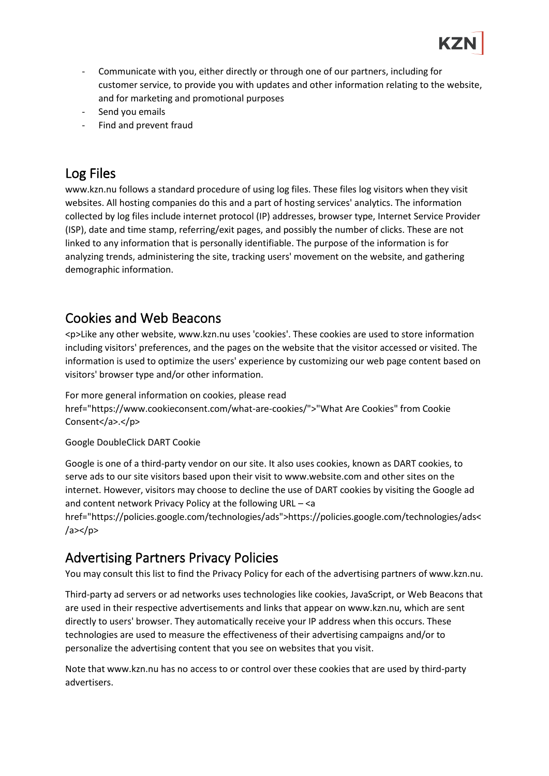- Communicate with you, either directly or through one of our partners, including for customer service, to provide you with updates and other information relating to the website, and for marketing and promotional purposes
- Send you emails
- Find and prevent fraud

# Log Files

www.kzn.nu follows a standard procedure of using log files. These files log visitors when they visit websites. All hosting companies do this and a part of hosting services' analytics. The information collected by log files include internet protocol (IP) addresses, browser type, Internet Service Provider (ISP), date and time stamp, referring/exit pages, and possibly the number of clicks. These are not linked to any information that is personally identifiable. The purpose of the information is for analyzing trends, administering the site, tracking users' movement on the website, and gathering demographic information.

### Cookies and Web Beacons

<p>Like any other website, www.kzn.nu uses 'cookies'. These cookies are used to store information including visitors' preferences, and the pages on the website that the visitor accessed or visited. The information is used to optimize the users' experience by customizing our web page content based on visitors' browser type and/or other information.

For more general information on cookies, please read href="https://www.cookieconsent.com/what-are-cookies/">"What Are Cookies" from Cookie Consent</a>.</p>

Google DoubleClick DART Cookie

Google is one of a third-party vendor on our site. It also uses cookies, known as DART cookies, to serve ads to our site visitors based upon their visit to www.website.com and other sites on the internet. However, visitors may choose to decline the use of DART cookies by visiting the Google ad and content network Privacy Policy at the following URL – <a

href="https://policies.google.com/technologies/ads">https://policies.google.com/technologies/ads<  $/$ a>< $/$ p>

# Advertising Partners Privacy Policies

You may consult this list to find the Privacy Policy for each of the advertising partners of www.kzn.nu.

Third-party ad servers or ad networks uses technologies like cookies, JavaScript, or Web Beacons that are used in their respective advertisements and links that appear on www.kzn.nu, which are sent directly to users' browser. They automatically receive your IP address when this occurs. These technologies are used to measure the effectiveness of their advertising campaigns and/or to personalize the advertising content that you see on websites that you visit.

Note that www.kzn.nu has no access to or control over these cookies that are used by third-party advertisers.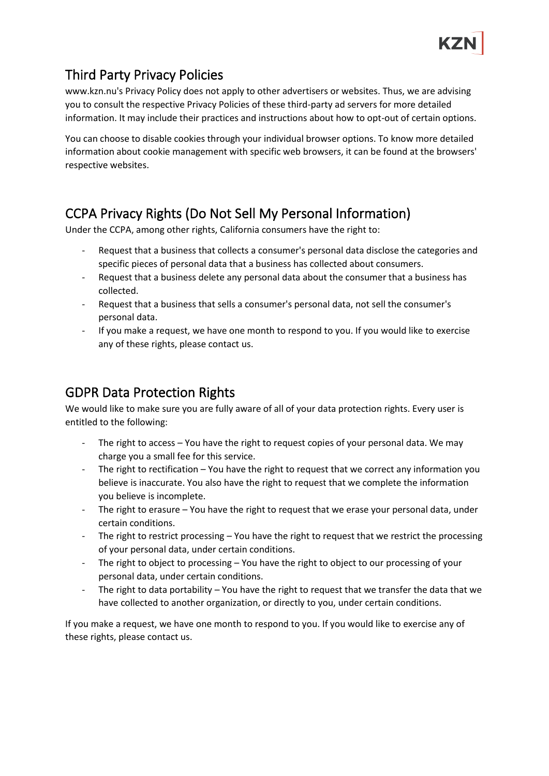# Third Party Privacy Policies

www.kzn.nu's Privacy Policy does not apply to other advertisers or websites. Thus, we are advising you to consult the respective Privacy Policies of these third-party ad servers for more detailed information. It may include their practices and instructions about how to opt-out of certain options.

You can choose to disable cookies through your individual browser options. To know more detailed information about cookie management with specific web browsers, it can be found at the browsers' respective websites.

# CCPA Privacy Rights (Do Not Sell My Personal Information)

Under the CCPA, among other rights, California consumers have the right to:

- Request that a business that collects a consumer's personal data disclose the categories and specific pieces of personal data that a business has collected about consumers.
- Request that a business delete any personal data about the consumer that a business has collected.
- Request that a business that sells a consumer's personal data, not sell the consumer's personal data.
- If you make a request, we have one month to respond to you. If you would like to exercise any of these rights, please contact us.

# GDPR Data Protection Rights

We would like to make sure you are fully aware of all of your data protection rights. Every user is entitled to the following:

- The right to access You have the right to request copies of your personal data. We may charge you a small fee for this service.
- The right to rectification  $-$  You have the right to request that we correct any information you believe is inaccurate. You also have the right to request that we complete the information you believe is incomplete.
- The right to erasure You have the right to request that we erase your personal data, under certain conditions.
- The right to restrict processing You have the right to request that we restrict the processing of your personal data, under certain conditions.
- The right to object to processing You have the right to object to our processing of your personal data, under certain conditions.
- The right to data portability You have the right to request that we transfer the data that we have collected to another organization, or directly to you, under certain conditions.

If you make a request, we have one month to respond to you. If you would like to exercise any of these rights, please contact us.